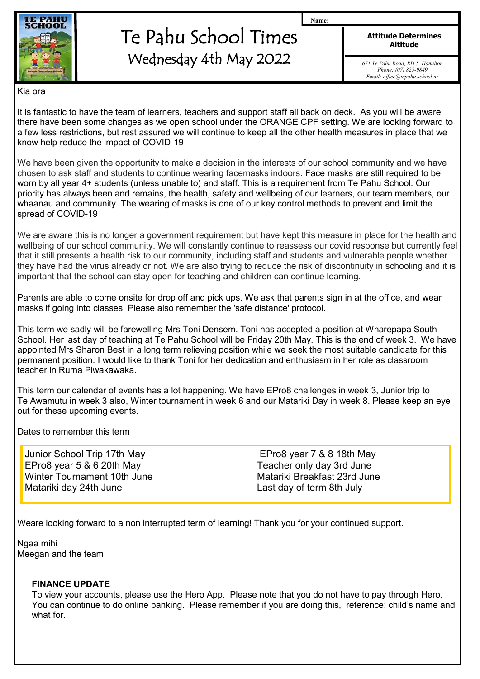

# Te Pahu School Times Wednesday 4th May 2022

**Attitude Determines Altitude**

**Name:**

*671 Te Pahu Road, RD 5, Hamilton Phone: (07) 825-9849 Email: office@tepahu.school.nz*

Kia ora

It is fantastic to have the team of learners, teachers and support staff all back on deck. As you will be aware there have been some changes as we open school under the ORANGE CPF setting. We are looking forward to a few less restrictions, but rest assured we will continue to keep all the other health measures in place that we know help reduce the impact of COVID-19

We have been given the opportunity to make a decision in the interests of our school community and we have chosen to ask staff and students to continue wearing facemasks indoors. Face masks are still required to be worn by all year 4+ students (unless unable to) and staff. This is a requirement from Te Pahu School. Our priority has always been and remains, the health, safety and wellbeing of our learners, our team members, our whaanau and community. The wearing of masks is one of our key control methods to prevent and limit the spread of COVID-19

We are aware this is no longer a government requirement but have kept this measure in place for the health and wellbeing of our school community. We will constantly continue to reassess our covid response but currently feel that it still presents a health risk to our community, including staff and students and vulnerable people whether they have had the virus already or not. We are also trying to reduce the risk of discontinuity in schooling and it is important that the school can stay open for teaching and children can continue learning.

Parents are able to come onsite for drop off and pick ups. We ask that parents sign in at the office, and wear masks if going into classes. Please also remember the 'safe distance' protocol.

This term we sadly will be farewelling Mrs Toni Densem. Toni has accepted a position at Wharepapa South School. Her last day of teaching at Te Pahu School will be Friday 20th May. This is the end of week 3. We have appointed Mrs Sharon Best in a long term relieving position while we seek the most suitable candidate for this permanent position. I would like to thank Toni for her dedication and enthusiasm in her role as classroom teacher in Ruma Piwakawaka.

This term our calendar of events has a lot happening. We have EPro8 challenges in week 3, Junior trip to Te Awamutu in week 3 also, Winter tournament in week 6 and our Matariki Day in week 8. Please keep an eye out for these upcoming events.

Dates to remember this term

Junior School Trip 17th May EPro8 year 7 & 8 18th May EPro8 year 5 & 6 20th May Teacher only day 3rd June Winter Tournament 10th June Matariki Breakfast 23rd June Matariki day 24th June **Last day of term 8th July** 

Weare looking forward to a non interrupted term of learning! Thank you for your continued support.

Ngaa mihi Meegan and the team

#### **FINANCE UPDATE**

To view your accounts, please use the Hero App. Please note that you do not have to pay through Hero. You can continue to do online banking. Please remember if you are doing this, reference: child's name and what for.